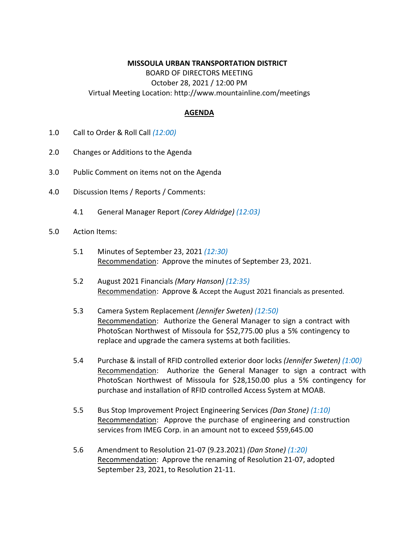## **MISSOULA URBAN TRANSPORTATION DISTRICT**

BOARD OF DIRECTORS MEETING October 28, 2021 / 12:00 PM Virtual Meeting Location: http://www.mountainline.com/meetings

## **AGENDA**

- 1.0 Call to Order & Roll Call *(12:00)*
- 2.0 Changes or Additions to the Agenda
- 3.0 Public Comment on items not on the Agenda
- 4.0 Discussion Items / Reports / Comments:
	- 4.1 General Manager Report *(Corey Aldridge) (12:03)*
- 5.0 Action Items:
	- 5.1 Minutes of September 23, 2021 *(12:30)* Recommendation: Approve the minutes of September 23, 2021.
	- 5.2 August 2021 Financials *(Mary Hanson) (12:35)* Recommendation: Approve & Accept the August 2021 financials as presented.
	- 5.3 Camera System Replacement *(Jennifer Sweten) (12:50)* Recommendation: Authorize the General Manager to sign a contract with PhotoScan Northwest of Missoula for \$52,775.00 plus a 5% contingency to replace and upgrade the camera systems at both facilities.
	- 5.4 Purchase & install of RFID controlled exterior door locks *(Jennifer Sweten) (1:00)* Recommendation: Authorize the General Manager to sign a contract with PhotoScan Northwest of Missoula for \$28,150.00 plus a 5% contingency for purchase and installation of RFID controlled Access System at MOAB.
	- 5.5 Bus Stop Improvement Project Engineering Services *(Dan Stone) (1:10)* Recommendation: Approve the purchase of engineering and construction services from IMEG Corp. in an amount not to exceed \$59,645.00
	- 5.6 Amendment to Resolution 21-07 (9.23.2021) *(Dan Stone) (1:20)* Recommendation: Approve the renaming of Resolution 21-07, adopted September 23, 2021, to Resolution 21-11.